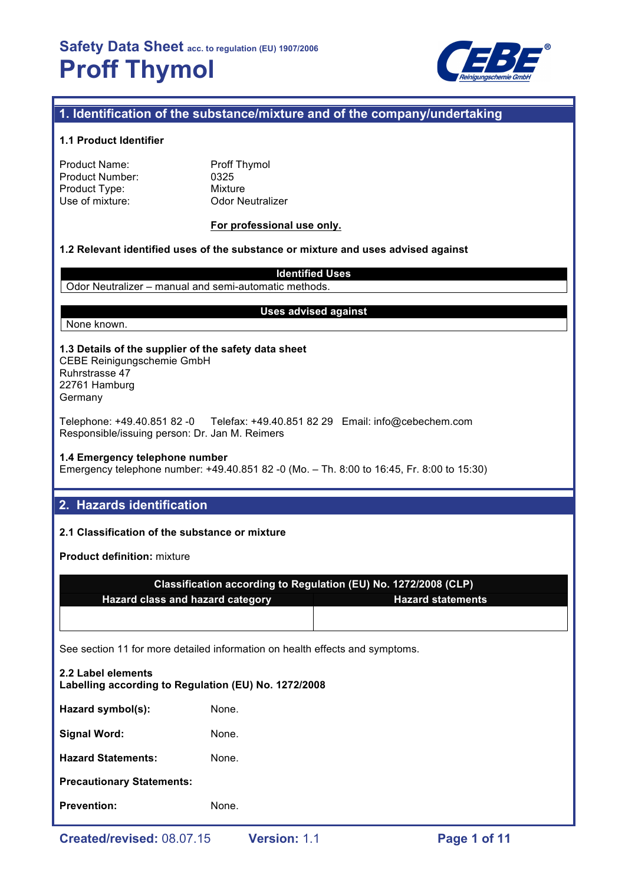

# **1. Identification of the substance/mixture and of the company/undertaking**

### **1.1 Product Identifier**

| <b>Proff Thymol</b> |
|---------------------|
| 0325                |
| Mixture             |
| <b>Odor Neutral</b> |
|                     |

utralizer

## **For professional use only.**

### **1.2 Relevant identified uses of the substance or mixture and uses advised against**

**Identified Uses** Odor Neutralizer – manual and semi-automatic methods.

## None known.

### **Uses advised against**

## **1.3 Details of the supplier of the safety data sheet** CEBE Reinigungschemie GmbH Ruhrstrasse 47

22761 Hamburg Germany

Telephone: +49.40.851 82 -0 Telefax: +49.40.851 82 29 Email: info@cebechem.com Responsible/issuing person: Dr. Jan M. Reimers

### **1.4 Emergency telephone number**

Emergency telephone number: +49.40.851 82 -0 (Mo. – Th. 8:00 to 16:45, Fr. 8:00 to 15:30)

## **2. Hazards identification**

## **2.1 Classification of the substance or mixture**

**Product definition:** mixture

| Classification according to Regulation (EU) No. 1272/2008 (CLP) |                          |  |  |
|-----------------------------------------------------------------|--------------------------|--|--|
| <b>Hazard class and hazard category</b>                         | <b>Hazard statements</b> |  |  |
|                                                                 |                          |  |  |

See section 11 for more detailed information on health effects and symptoms.

| 2.2 Label elements<br>Labelling according to Regulation (EU) No. 1272/2008 |       |
|----------------------------------------------------------------------------|-------|
| Hazard symbol(s):                                                          | None. |
| <b>Signal Word:</b>                                                        | None. |
| <b>Hazard Statements:</b>                                                  | None. |
| <b>Precautionary Statements:</b>                                           |       |
| <b>Prevention:</b>                                                         | None. |
|                                                                            |       |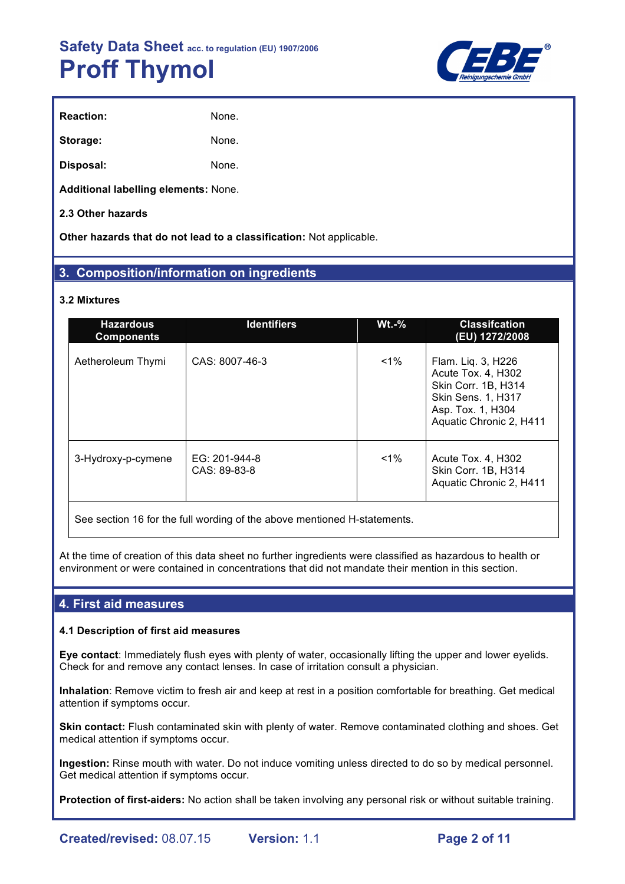

| <b>Reaction:</b> | None. |
|------------------|-------|
| Storage:         | None. |
| Disposal:        | None. |

**Additional labelling elements:** None.

## **2.3 Other hazards**

**Other hazards that do not lead to a classification:** Not applicable.

# **3. Composition/information on ingredients**

## **3.2 Mixtures**

| <b>Hazardous</b><br><b>Components</b> | <b>Identifiers</b>            | $Wt.-%$ | <b>Classifcation</b><br>(EU) 1272/2008                                                                                                       |
|---------------------------------------|-------------------------------|---------|----------------------------------------------------------------------------------------------------------------------------------------------|
| Aetheroleum Thymi                     | CAS: 8007-46-3                | $1\%$   | Flam. Liq. 3, H226<br>Acute Tox. 4, H302<br>Skin Corr. 1B, H314<br><b>Skin Sens. 1, H317</b><br>Asp. Tox. 1, H304<br>Aquatic Chronic 2, H411 |
| 3-Hydroxy-p-cymene                    | EG: 201-944-8<br>CAS: 89-83-8 | $1\%$   | Acute Tox. 4, H302<br>Skin Corr. 1B, H314<br>Aquatic Chronic 2, H411                                                                         |

See section 16 for the full wording of the above mentioned H-statements.

At the time of creation of this data sheet no further ingredients were classified as hazardous to health or environment or were contained in concentrations that did not mandate their mention in this section.

## **4. First aid measures**

## **4.1 Description of first aid measures**

**Eye contact**: Immediately flush eyes with plenty of water, occasionally lifting the upper and lower eyelids. Check for and remove any contact lenses. In case of irritation consult a physician.

**Inhalation**: Remove victim to fresh air and keep at rest in a position comfortable for breathing. Get medical attention if symptoms occur.

**Skin contact:** Flush contaminated skin with plenty of water. Remove contaminated clothing and shoes. Get medical attention if symptoms occur.

**Ingestion:** Rinse mouth with water. Do not induce vomiting unless directed to do so by medical personnel. Get medical attention if symptoms occur.

**Protection of first-aiders:** No action shall be taken involving any personal risk or without suitable training.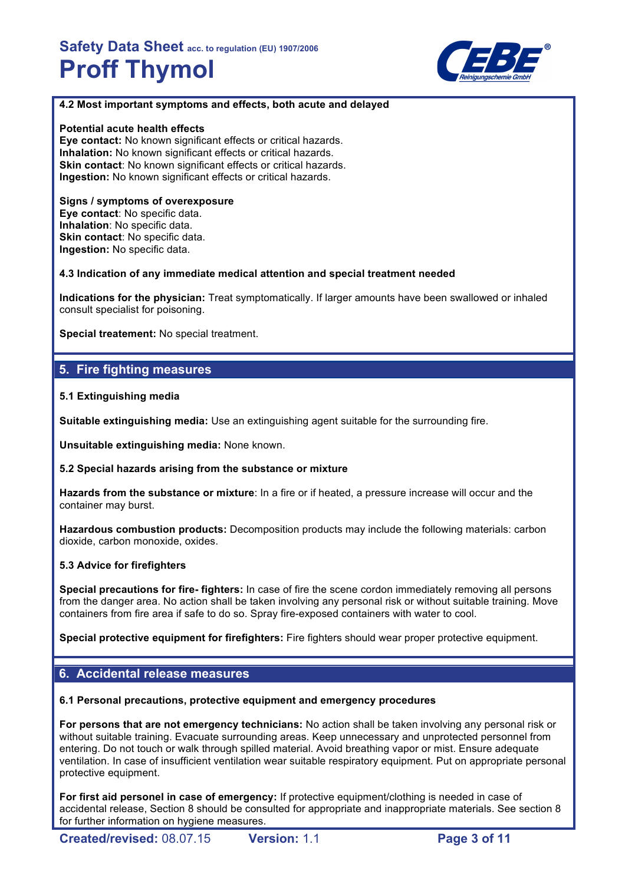

## **4.2 Most important symptoms and effects, both acute and delayed**

## **Potential acute health effects**

**Eye contact:** No known significant effects or critical hazards. **Inhalation:** No known significant effects or critical hazards. **Skin contact**: No known significant effects or critical hazards. **Ingestion:** No known significant effects or critical hazards.

#### **Signs / symptoms of overexposure Eye contact**: No specific data. **Inhalation**: No specific data. **Skin contact: No specific data. Ingestion:** No specific data.

**4.3 Indication of any immediate medical attention and special treatment needed**

**Indications for the physician:** Treat symptomatically. If larger amounts have been swallowed or inhaled consult specialist for poisoning.

**Special treatement:** No special treatment.

# **5. Fire fighting measures**

## **5.1 Extinguishing media**

**Suitable extinguishing media:** Use an extinguishing agent suitable for the surrounding fire.

**Unsuitable extinguishing media:** None known.

## **5.2 Special hazards arising from the substance or mixture**

**Hazards from the substance or mixture**: In a fire or if heated, a pressure increase will occur and the container may burst.

**Hazardous combustion products:** Decomposition products may include the following materials: carbon dioxide, carbon monoxide, oxides.

## **5.3 Advice for firefighters**

**Special precautions for fire- fighters:** In case of fire the scene cordon immediately removing all persons from the danger area. No action shall be taken involving any personal risk or without suitable training. Move containers from fire area if safe to do so. Spray fire-exposed containers with water to cool.

**Special protective equipment for firefighters:** Fire fighters should wear proper protective equipment.

# **6. Accidental release measures**

**6.1 Personal precautions, protective equipment and emergency procedures**

**For persons that are not emergency technicians:** No action shall be taken involving any personal risk or without suitable training. Evacuate surrounding areas. Keep unnecessary and unprotected personnel from entering. Do not touch or walk through spilled material. Avoid breathing vapor or mist. Ensure adequate ventilation. In case of insufficient ventilation wear suitable respiratory equipment. Put on appropriate personal protective equipment.

**For first aid personel in case of emergency:** If protective equipment/clothing is needed in case of accidental release, Section 8 should be consulted for appropriate and inappropriate materials. See section 8 for further information on hygiene measures.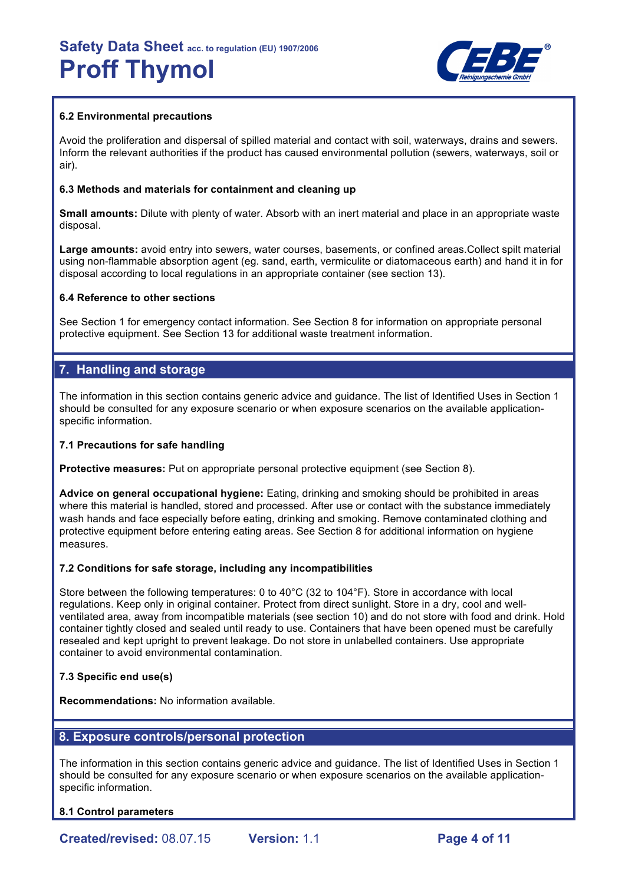

## **6.2 Environmental precautions**

Avoid the proliferation and dispersal of spilled material and contact with soil, waterways, drains and sewers. Inform the relevant authorities if the product has caused environmental pollution (sewers, waterways, soil or air).

## **6.3 Methods and materials for containment and cleaning up**

**Small amounts:** Dilute with plenty of water. Absorb with an inert material and place in an appropriate waste disposal.

**Large amounts:** avoid entry into sewers, water courses, basements, or confined areas.Collect spilt material using non-flammable absorption agent (eg. sand, earth, vermiculite or diatomaceous earth) and hand it in for disposal according to local regulations in an appropriate container (see section 13).

## **6.4 Reference to other sections**

See Section 1 for emergency contact information. See Section 8 for information on appropriate personal protective equipment. See Section 13 for additional waste treatment information.

# **7. Handling and storage**

The information in this section contains generic advice and guidance. The list of Identified Uses in Section 1 should be consulted for any exposure scenario or when exposure scenarios on the available applicationspecific information.

## **7.1 Precautions for safe handling**

**Protective measures:** Put on appropriate personal protective equipment (see Section 8).

**Advice on general occupational hygiene:** Eating, drinking and smoking should be prohibited in areas where this material is handled, stored and processed. After use or contact with the substance immediately wash hands and face especially before eating, drinking and smoking. Remove contaminated clothing and protective equipment before entering eating areas. See Section 8 for additional information on hygiene measures.

## **7.2 Conditions for safe storage, including any incompatibilities**

Store between the following temperatures: 0 to 40°C (32 to 104°F). Store in accordance with local regulations. Keep only in original container. Protect from direct sunlight. Store in a dry, cool and wellventilated area, away from incompatible materials (see section 10) and do not store with food and drink. Hold container tightly closed and sealed until ready to use. Containers that have been opened must be carefully resealed and kept upright to prevent leakage. Do not store in unlabelled containers. Use appropriate container to avoid environmental contamination.

## **7.3 Specific end use(s)**

**Recommendations:** No information available.

## **8. Exposure controls/personal protection**

The information in this section contains generic advice and guidance. The list of Identified Uses in Section 1 should be consulted for any exposure scenario or when exposure scenarios on the available applicationspecific information.

**8.1 Control parameters**

**Created/revised:** 08.07.15 **Version:** 1.1 **Page 4 of 11**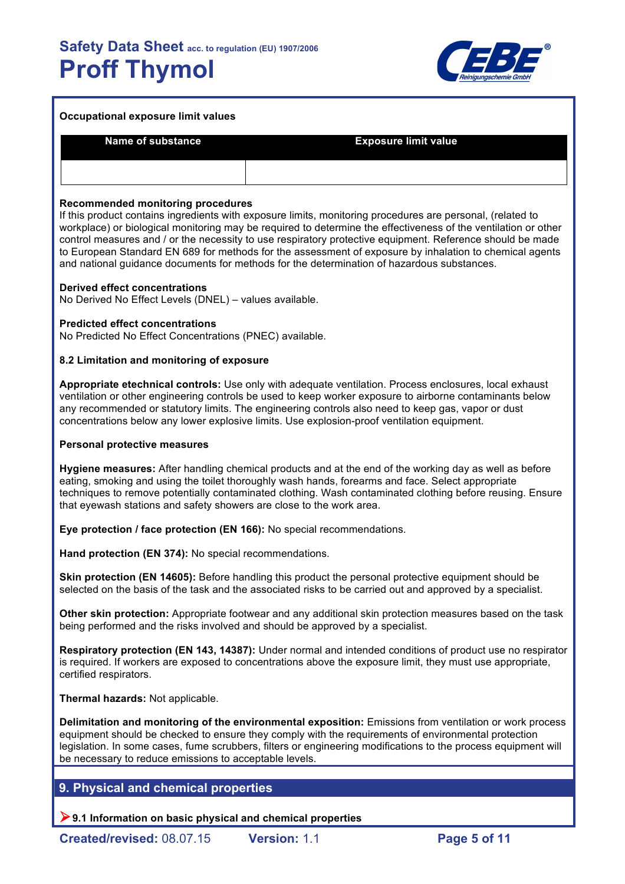

| Occupational exposure limit values |                             |  |  |  |
|------------------------------------|-----------------------------|--|--|--|
| <b>Name of substance</b>           | <b>Exposure limit value</b> |  |  |  |
|                                    |                             |  |  |  |

### **Recommended monitoring procedures**

If this product contains ingredients with exposure limits, monitoring procedures are personal, (related to workplace) or biological monitoring may be required to determine the effectiveness of the ventilation or other control measures and / or the necessity to use respiratory protective equipment. Reference should be made to European Standard EN 689 for methods for the assessment of exposure by inhalation to chemical agents and national guidance documents for methods for the determination of hazardous substances.

#### **Derived effect concentrations**

No Derived No Effect Levels (DNEL) – values available.

### **Predicted effect concentrations**

No Predicted No Effect Concentrations (PNEC) available.

### **8.2 Limitation and monitoring of exposure**

**Appropriate etechnical controls:** Use only with adequate ventilation. Process enclosures, local exhaust ventilation or other engineering controls be used to keep worker exposure to airborne contaminants below any recommended or statutory limits. The engineering controls also need to keep gas, vapor or dust concentrations below any lower explosive limits. Use explosion-proof ventilation equipment.

#### **Personal protective measures**

**Hygiene measures:** After handling chemical products and at the end of the working day as well as before eating, smoking and using the toilet thoroughly wash hands, forearms and face. Select appropriate techniques to remove potentially contaminated clothing. Wash contaminated clothing before reusing. Ensure that eyewash stations and safety showers are close to the work area.

**Eye protection / face protection (EN 166):** No special recommendations.

**Hand protection (EN 374):** No special recommendations.

**Skin protection (EN 14605):** Before handling this product the personal protective equipment should be selected on the basis of the task and the associated risks to be carried out and approved by a specialist.

**Other skin protection:** Appropriate footwear and any additional skin protection measures based on the task being performed and the risks involved and should be approved by a specialist.

**Respiratory protection (EN 143, 14387):** Under normal and intended conditions of product use no respirator is required. If workers are exposed to concentrations above the exposure limit, they must use appropriate, certified respirators.

**Thermal hazards:** Not applicable.

**Delimitation and monitoring of the environmental exposition:** Emissions from ventilation or work process equipment should be checked to ensure they comply with the requirements of environmental protection legislation. In some cases, fume scrubbers, filters or engineering modifications to the process equipment will be necessary to reduce emissions to acceptable levels.

## **9. Physical and chemical properties**

!**9.1 Information on basic physical and chemical properties**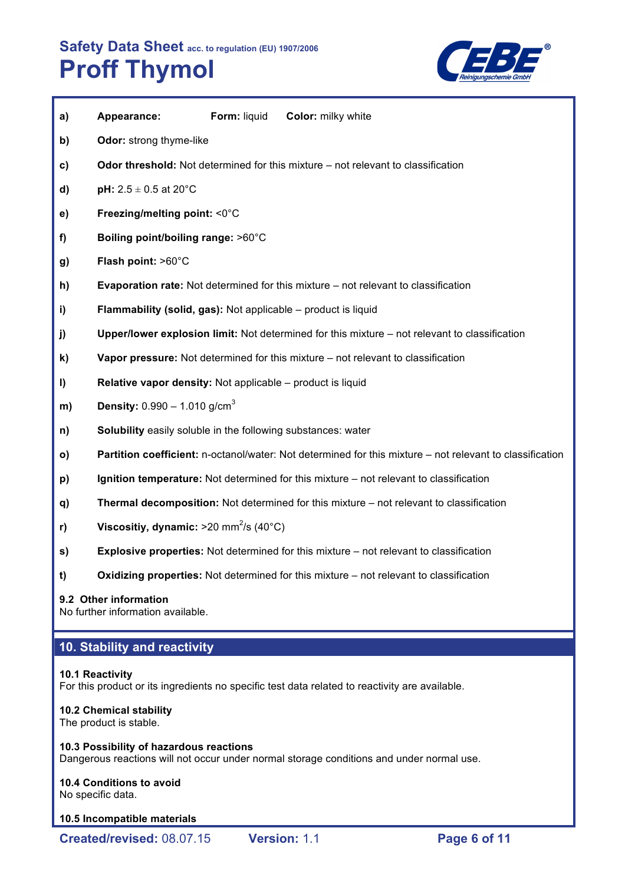

| a) | Appearance:                                                         | Form: liquid | <b>Color:</b> milky white                                                                                |
|----|---------------------------------------------------------------------|--------------|----------------------------------------------------------------------------------------------------------|
| b) | Odor: strong thyme-like                                             |              |                                                                                                          |
| c) |                                                                     |              | Odor threshold: Not determined for this mixture – not relevant to classification                         |
| d) | <b>pH:</b> $2.5 \pm 0.5$ at 20°C                                    |              |                                                                                                          |
| e) | Freezing/melting point: <0°C                                        |              |                                                                                                          |
| f) | Boiling point/boiling range: >60°C                                  |              |                                                                                                          |
| g) | Flash point: >60°C                                                  |              |                                                                                                          |
| h) |                                                                     |              | <b>Evaporation rate:</b> Not determined for this mixture – not relevant to classification                |
| i) | Flammability (solid, gas): Not applicable - product is liquid       |              |                                                                                                          |
| j) |                                                                     |              | Upper/lower explosion limit: Not determined for this mixture - not relevant to classification            |
| k) |                                                                     |              | Vapor pressure: Not determined for this mixture – not relevant to classification                         |
| I) | Relative vapor density: Not applicable - product is liquid          |              |                                                                                                          |
| m) | <b>Density:</b> $0.990 - 1.010$ g/cm <sup>3</sup>                   |              |                                                                                                          |
| n) | <b>Solubility</b> easily soluble in the following substances: water |              |                                                                                                          |
| o) |                                                                     |              | Partition coefficient: n-octanol/water: Not determined for this mixture - not relevant to classification |
| p) |                                                                     |              | Ignition temperature: Not determined for this mixture - not relevant to classification                   |
| q) |                                                                     |              | Thermal decomposition: Not determined for this mixture - not relevant to classification                  |
| r) | Viscositiy, dynamic: $>20$ mm <sup>2</sup> /s (40°C)                |              |                                                                                                          |
| s) |                                                                     |              | <b>Explosive properties:</b> Not determined for this mixture – not relevant to classification            |
| t) |                                                                     |              | Oxidizing properties: Not determined for this mixture – not relevant to classification                   |

## **9.2 Other information**

No further information available.

# **10. Stability and reactivity**

## **10.1 Reactivity**

For this product or its ingredients no specific test data related to reactivity are available.

## **10.2 Chemical stability**

The product is stable.

## **10.3 Possibility of hazardous reactions**

Dangerous reactions will not occur under normal storage conditions and under normal use.

# **10.4 Conditions to avoid**

No specific data.

#### **10.5 Incompatible materials**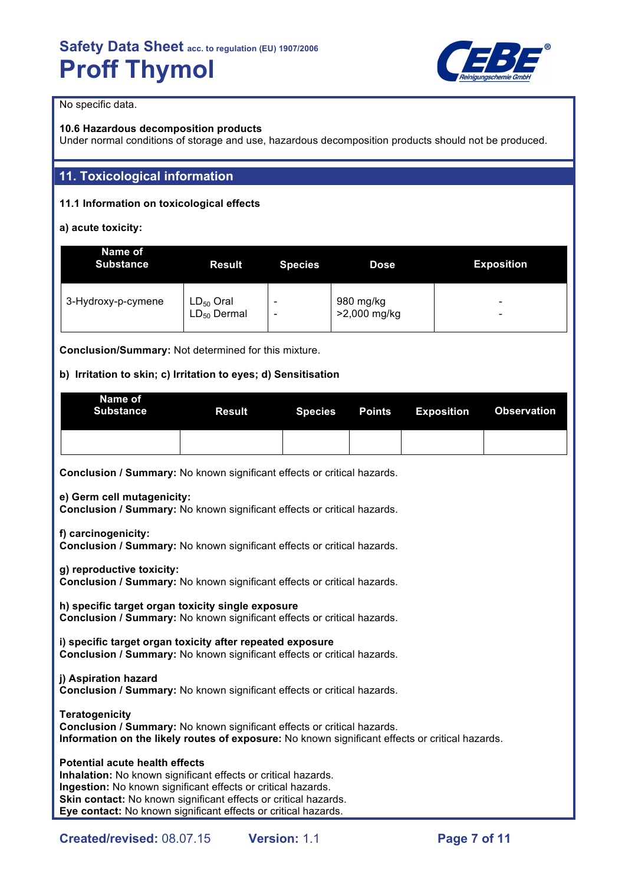

No specific data.

## **10.6 Hazardous decomposition products**

Under normal conditions of storage and use, hazardous decomposition products should not be produced.

# **11. Toxicological information**

## **11.1 Information on toxicological effects**

**a) acute toxicity:**

| Name of<br><b>Substance</b> | <b>Result</b>                      | <b>Species</b> | Dose                      | <b>Exposition</b> |
|-----------------------------|------------------------------------|----------------|---------------------------|-------------------|
| 3-Hydroxy-p-cymene          | $LD_{50}$ Oral<br>$LD_{50}$ Dermal |                | 980 mg/kg<br>>2,000 mg/kg | -<br>-            |

**Conclusion/Summary:** Not determined for this mixture.

## **b) Irritation to skin; c) Irritation to eyes; d) Sensitisation**

| Name of<br>Substance | Result |  | Species Points Exposition Observation |  |
|----------------------|--------|--|---------------------------------------|--|
|                      |        |  |                                       |  |

**Conclusion / Summary:** No known significant effects or critical hazards.

**e) Germ cell mutagenicity:**

**Conclusion / Summary:** No known significant effects or critical hazards.

**f) carcinogenicity:**

**Conclusion / Summary:** No known significant effects or critical hazards.

**g) reproductive toxicity:**

**Conclusion / Summary:** No known significant effects or critical hazards.

**h) specific target organ toxicity single exposure Conclusion / Summary:** No known significant effects or critical hazards.

**i) specific target organ toxicity after repeated exposure Conclusion / Summary:** No known significant effects or critical hazards.

## **j) Aspiration hazard**

**Conclusion / Summary:** No known significant effects or critical hazards.

**Teratogenicity Conclusion / Summary:** No known significant effects or critical hazards. **Information on the likely routes of exposure:** No known significant effects or critical hazards.

## **Potential acute health effects**

**Inhalation:** No known significant effects or critical hazards. **Ingestion:** No known significant effects or critical hazards. **Skin contact:** No known significant effects or critical hazards. **Eye contact:** No known significant effects or critical hazards.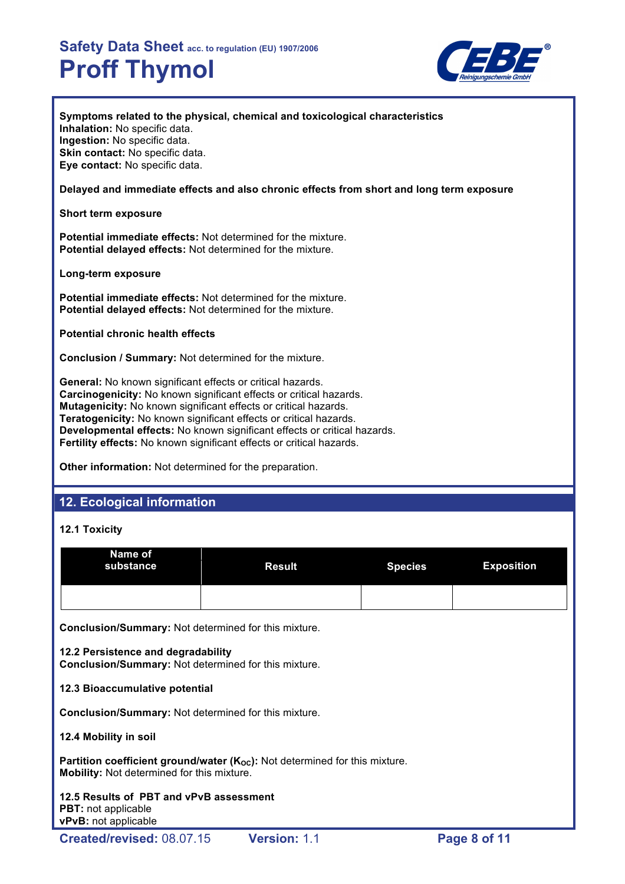

**Symptoms related to the physical, chemical and toxicological characteristics Inhalation:** No specific data. **Ingestion:** No specific data. **Skin contact:** No specific data. **Eye contact:** No specific data.

### **Delayed and immediate effects and also chronic effects from short and long term exposure**

**Short term exposure**

**Potential immediate effects:** Not determined for the mixture. **Potential delayed effects:** Not determined for the mixture.

**Long-term exposure**

**Potential immediate effects:** Not determined for the mixture. **Potential delayed effects:** Not determined for the mixture.

**Potential chronic health effects**

**Conclusion / Summary:** Not determined for the mixture.

**General:** No known significant effects or critical hazards. **Carcinogenicity:** No known significant effects or critical hazards. **Mutagenicity:** No known significant effects or critical hazards. **Teratogenicity:** No known significant effects or critical hazards. **Developmental effects:** No known significant effects or critical hazards. **Fertility effects:** No known significant effects or critical hazards.

**Other information:** Not determined for the preparation.

# **12. Ecological information**

## **12.1 Toxicity**

| Name of<br>substance | <b>Result</b> | <b>Species</b> | <b>Exposition</b> |
|----------------------|---------------|----------------|-------------------|
|                      |               |                |                   |

**Conclusion/Summary:** Not determined for this mixture.

## **12.2 Persistence and degradability**

**Conclusion/Summary:** Not determined for this mixture.

## **12.3 Bioaccumulative potential**

**Conclusion/Summary:** Not determined for this mixture.

## **12.4 Mobility in soil**

Partition coefficient ground/water (K<sub>oc</sub>): Not determined for this mixture. **Mobility:** Not determined for this mixture.

**12.5 Results of PBT and vPvB assessment PBT:** not applicable **vPvB:** not applicable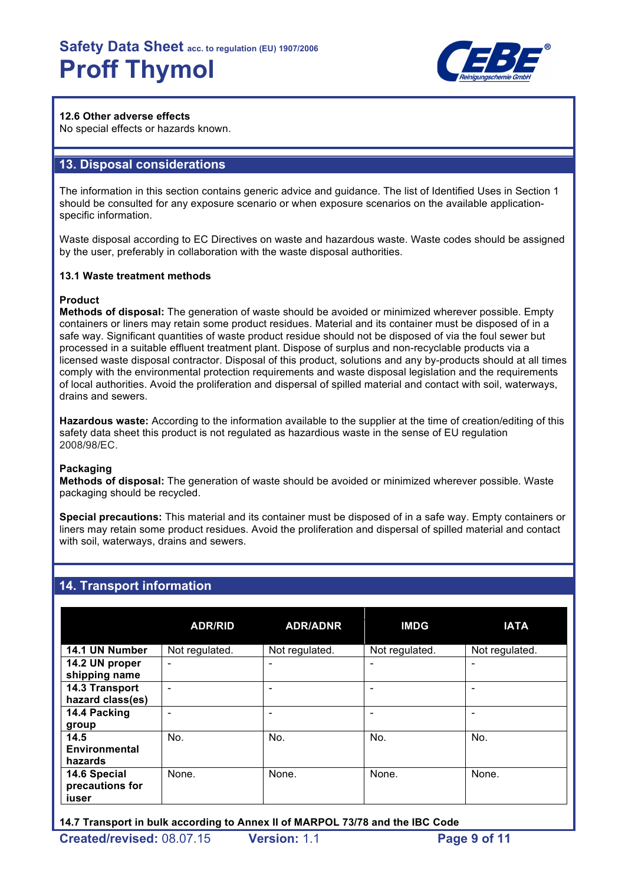

## **12.6 Other adverse effects**

No special effects or hazards known.

## **13. Disposal considerations**

The information in this section contains generic advice and guidance. The list of Identified Uses in Section 1 should be consulted for any exposure scenario or when exposure scenarios on the available applicationspecific information.

Waste disposal according to EC Directives on waste and hazardous waste. Waste codes should be assigned by the user, preferably in collaboration with the waste disposal authorities.

### **13.1 Waste treatment methods**

### **Product**

**Methods of disposal:** The generation of waste should be avoided or minimized wherever possible. Empty containers or liners may retain some product residues. Material and its container must be disposed of in a safe way. Significant quantities of waste product residue should not be disposed of via the foul sewer but processed in a suitable effluent treatment plant. Dispose of surplus and non-recyclable products via a licensed waste disposal contractor. Disposal of this product, solutions and any by-products should at all times comply with the environmental protection requirements and waste disposal legislation and the requirements of local authorities. Avoid the proliferation and dispersal of spilled material and contact with soil, waterways, drains and sewers.

**Hazardous waste:** According to the information available to the supplier at the time of creation/editing of this safety data sheet this product is not regulated as hazardious waste in the sense of EU regulation 2008/98/EC.

## **Packaging**

**Methods of disposal:** The generation of waste should be avoided or minimized wherever possible. Waste packaging should be recycled.

**Special precautions:** This material and its container must be disposed of in a safe way. Empty containers or liners may retain some product residues. Avoid the proliferation and dispersal of spilled material and contact with soil, waterways, drains and sewers.

## **14. Transport information**

|                                          | <b>ADR/RID</b>           | <b>ADR/ADNR</b> | <b>IMDG</b>    | <b>IATA</b>    |
|------------------------------------------|--------------------------|-----------------|----------------|----------------|
| 14.1 UN Number                           | Not regulated.           | Not regulated.  | Not regulated. | Not regulated. |
| 14.2 UN proper<br>shipping name          | $\overline{\phantom{0}}$ |                 | ۰              | ٠              |
| 14.3 Transport<br>hazard class(es)       |                          |                 |                |                |
| 14.4 Packing<br>group                    |                          |                 |                |                |
| 14.5<br>Environmental<br>hazards         | No.                      | No.             | No.            | No.            |
| 14.6 Special<br>precautions for<br>iuser | None.                    | None.           | None.          | None.          |

**14.7 Transport in bulk according to Annex II of MARPOL 73/78 and the IBC Code**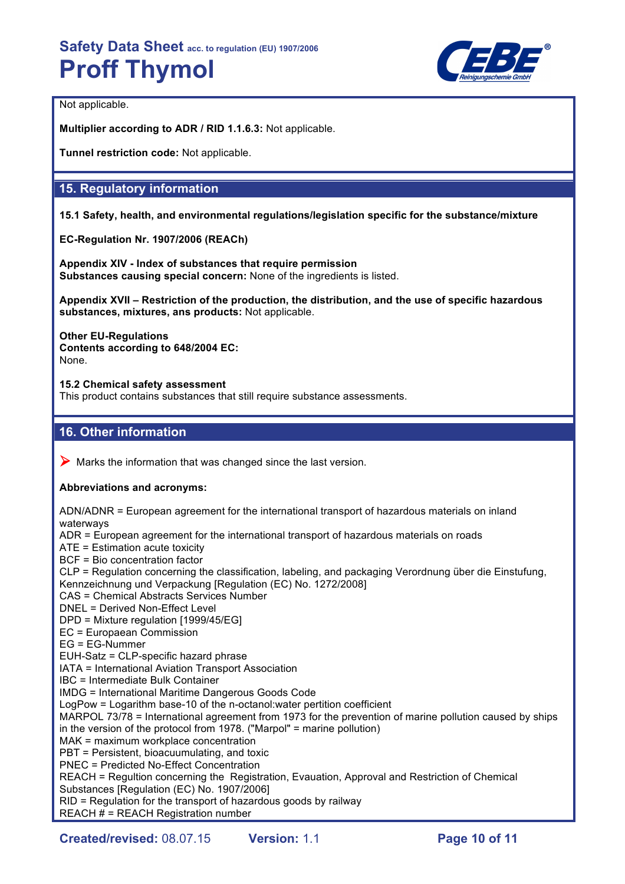

Not applicable.

**Multiplier according to ADR / RID 1.1.6.3:** Not applicable.

**Tunnel restriction code:** Not applicable.

## **15. Regulatory information**

**15.1 Safety, health, and environmental regulations/legislation specific for the substance/mixture**

**EC-Regulation Nr. 1907/2006 (REACh)**

**Appendix XIV - Index of substances that require permission Substances causing special concern:** None of the ingredients is listed.

**Appendix XVII – Restriction of the production, the distribution, and the use of specific hazardous substances, mixtures, ans products:** Not applicable.

**Other EU-Regulations Contents according to 648/2004 EC:** None.

**15.2 Chemical safety assessment** This product contains substances that still require substance assessments.

## **16. Other information**

 $\triangleright$  Marks the information that was changed since the last version.

## **Abbreviations and acronyms:**

ADN/ADNR = European agreement for the international transport of hazardous materials on inland waterways ADR = European agreement for the international transport of hazardous materials on roads ATE = Estimation acute toxicity BCF = Bio concentration factor CLP = Regulation concerning the classification, labeling, and packaging Verordnung über die Einstufung, Kennzeichnung und Verpackung [Regulation (EC) No. 1272/2008] CAS = Chemical Abstracts Services Number DNEL = Derived Non-Effect Level DPD = Mixture regulation [1999/45/EG] EC = Europaean Commission EG = EG-Nummer EUH-Satz = CLP-specific hazard phrase IATA = International Aviation Transport Association IBC = Intermediate Bulk Container IMDG = International Maritime Dangerous Goods Code LogPow = Logarithm base-10 of the n-octanol:water pertition coefficient MARPOL 73/78 = International agreement from 1973 for the prevention of marine pollution caused by ships in the version of the protocol from 1978. ("Marpol" = marine pollution) MAK = maximum workplace concentration PBT = Persistent, bioacuumulating, and toxic PNEC = Predicted No-Effect Concentration REACH = Regultion concerning the Registration, Evauation, Approval and Restriction of Chemical Substances [Regulation (EC) No. 1907/2006] RID = Regulation for the transport of hazardous goods by railway REACH # = REACH Registration number